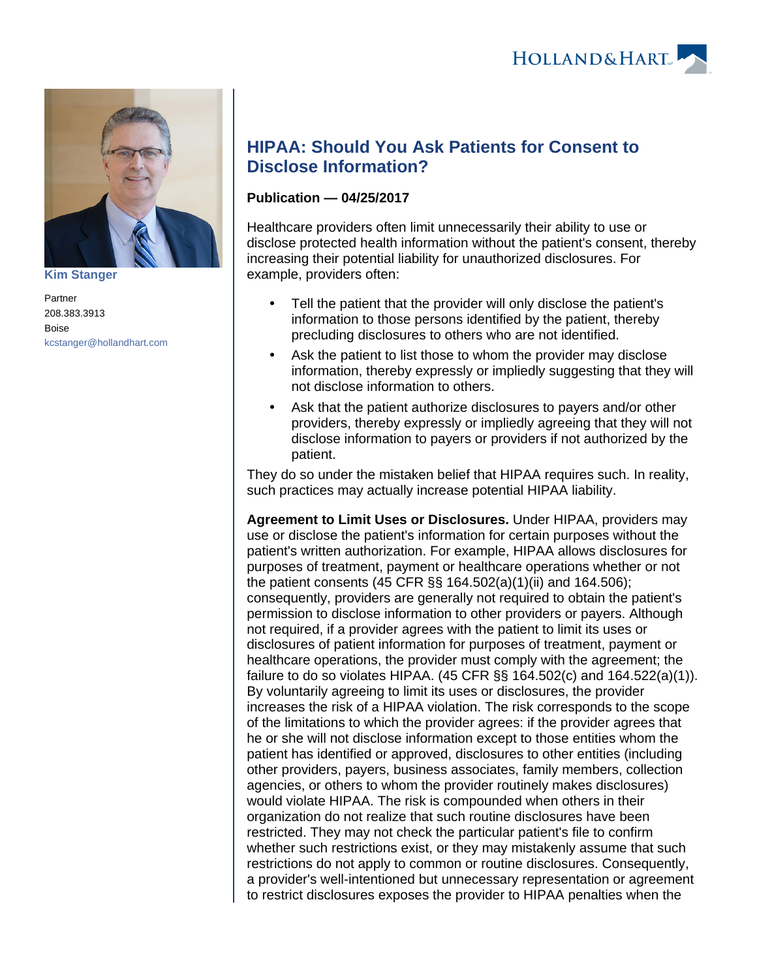

**[Kim Stanger](https://www.hollandhart.com/15954)**

Partner 208.383.3913 Boise [kcstanger@hollandhart.com](mailto:kcstanger@hollandhart.com)

## **HIPAA: Should You Ask Patients for Consent to Disclose Information?**

## **Publication — 04/25/2017**

Healthcare providers often limit unnecessarily their ability to use or disclose protected health information without the patient's consent, thereby increasing their potential liability for unauthorized disclosures. For example, providers often:

- Tell the patient that the provider will only disclose the patient's information to those persons identified by the patient, thereby precluding disclosures to others who are not identified.
- Ask the patient to list those to whom the provider may disclose information, thereby expressly or impliedly suggesting that they will not disclose information to others.
- Ask that the patient authorize disclosures to payers and/or other providers, thereby expressly or impliedly agreeing that they will not disclose information to payers or providers if not authorized by the patient.

They do so under the mistaken belief that HIPAA requires such. In reality, such practices may actually increase potential HIPAA liability.

**Agreement to Limit Uses or Disclosures.** Under HIPAA, providers may use or disclose the patient's information for certain purposes without the patient's written authorization. For example, HIPAA allows disclosures for purposes of treatment, payment or healthcare operations whether or not the patient consents (45 CFR §§ 164.502(a)(1)(ii) and 164.506); consequently, providers are generally not required to obtain the patient's permission to disclose information to other providers or payers. Although not required, if a provider agrees with the patient to limit its uses or disclosures of patient information for purposes of treatment, payment or healthcare operations, the provider must comply with the agreement; the failure to do so violates HIPAA.  $(45$  CFR §§ 164.502(c) and 164.522(a)(1)). By voluntarily agreeing to limit its uses or disclosures, the provider increases the risk of a HIPAA violation. The risk corresponds to the scope of the limitations to which the provider agrees: if the provider agrees that he or she will not disclose information except to those entities whom the patient has identified or approved, disclosures to other entities (including other providers, payers, business associates, family members, collection agencies, or others to whom the provider routinely makes disclosures) would violate HIPAA. The risk is compounded when others in their organization do not realize that such routine disclosures have been restricted. They may not check the particular patient's file to confirm whether such restrictions exist, or they may mistakenly assume that such restrictions do not apply to common or routine disclosures. Consequently, a provider's well-intentioned but unnecessary representation or agreement to restrict disclosures exposes the provider to HIPAA penalties when the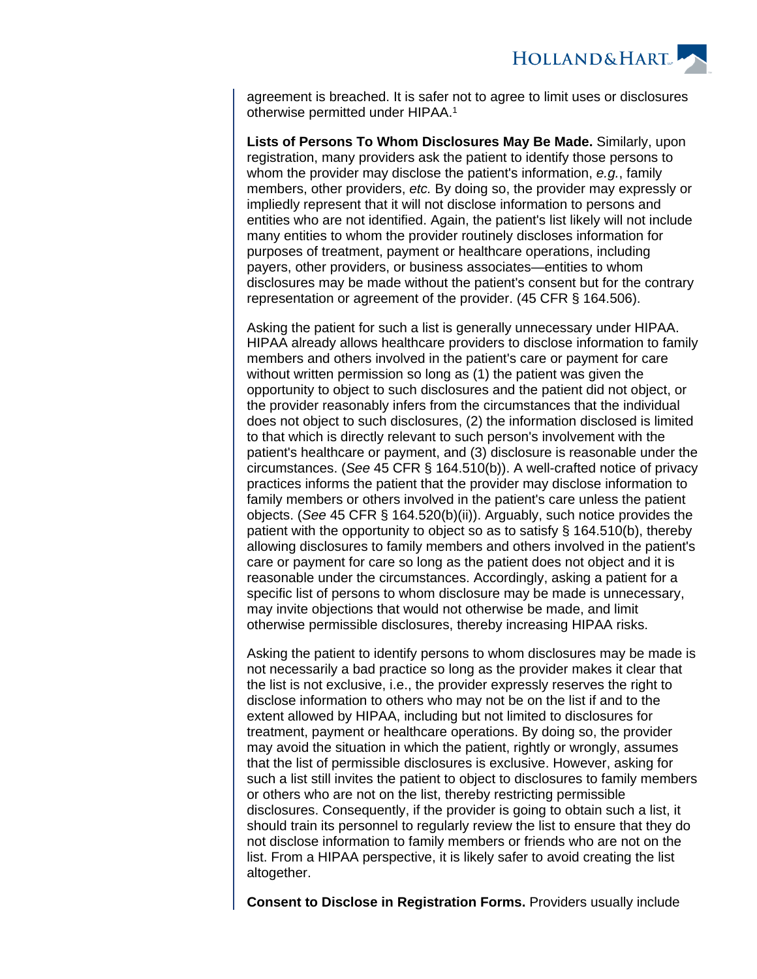

agreement is breached. It is safer not to agree to limit uses or disclosures otherwise permitted under HIPAA.<sup>1</sup>

**Lists of Persons To Whom Disclosures May Be Made.** Similarly, upon registration, many providers ask the patient to identify those persons to whom the provider may disclose the patient's information, e.g., family members, other providers, etc. By doing so, the provider may expressly or impliedly represent that it will not disclose information to persons and entities who are not identified. Again, the patient's list likely will not include many entities to whom the provider routinely discloses information for purposes of treatment, payment or healthcare operations, including payers, other providers, or business associates—entities to whom disclosures may be made without the patient's consent but for the contrary representation or agreement of the provider. (45 CFR § 164.506).

Asking the patient for such a list is generally unnecessary under HIPAA. HIPAA already allows healthcare providers to disclose information to family members and others involved in the patient's care or payment for care without written permission so long as (1) the patient was given the opportunity to object to such disclosures and the patient did not object, or the provider reasonably infers from the circumstances that the individual does not object to such disclosures, (2) the information disclosed is limited to that which is directly relevant to such person's involvement with the patient's healthcare or payment, and (3) disclosure is reasonable under the circumstances. (See 45 CFR § 164.510(b)). A well-crafted notice of privacy practices informs the patient that the provider may disclose information to family members or others involved in the patient's care unless the patient objects. (See 45 CFR § 164.520(b)(ii)). Arguably, such notice provides the patient with the opportunity to object so as to satisfy § 164.510(b), thereby allowing disclosures to family members and others involved in the patient's care or payment for care so long as the patient does not object and it is reasonable under the circumstances. Accordingly, asking a patient for a specific list of persons to whom disclosure may be made is unnecessary, may invite objections that would not otherwise be made, and limit otherwise permissible disclosures, thereby increasing HIPAA risks.

Asking the patient to identify persons to whom disclosures may be made is not necessarily a bad practice so long as the provider makes it clear that the list is not exclusive, i.e., the provider expressly reserves the right to disclose information to others who may not be on the list if and to the extent allowed by HIPAA, including but not limited to disclosures for treatment, payment or healthcare operations. By doing so, the provider may avoid the situation in which the patient, rightly or wrongly, assumes that the list of permissible disclosures is exclusive. However, asking for such a list still invites the patient to object to disclosures to family members or others who are not on the list, thereby restricting permissible disclosures. Consequently, if the provider is going to obtain such a list, it should train its personnel to regularly review the list to ensure that they do not disclose information to family members or friends who are not on the list. From a HIPAA perspective, it is likely safer to avoid creating the list altogether.

**Consent to Disclose in Registration Forms.** Providers usually include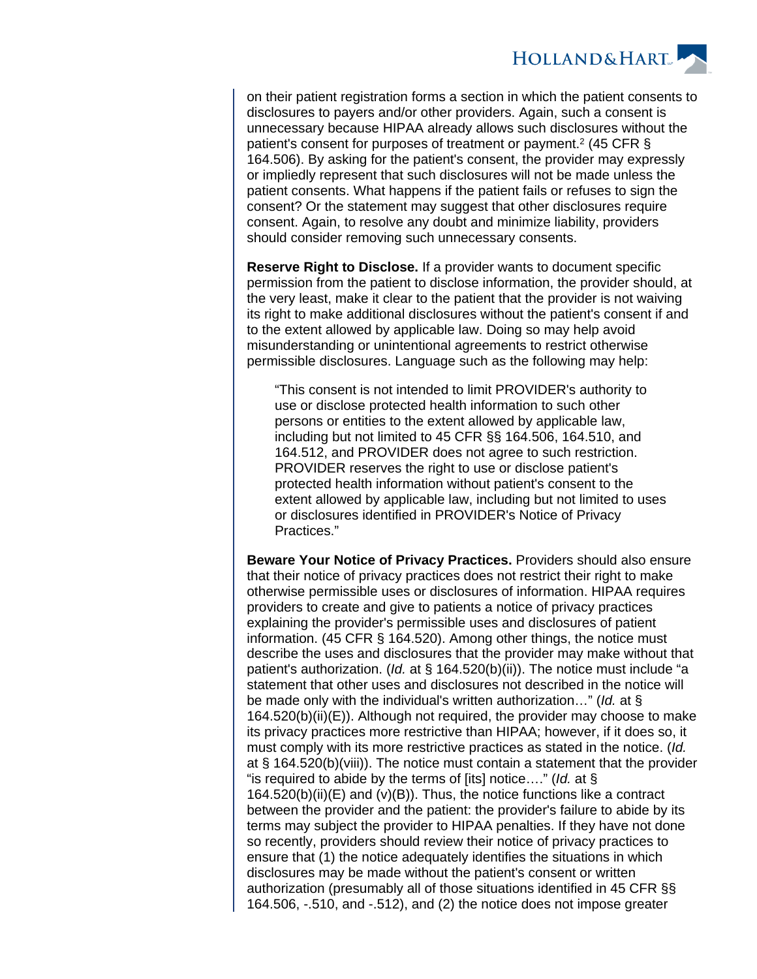

on their patient registration forms a section in which the patient consents to disclosures to payers and/or other providers. Again, such a consent is unnecessary because HIPAA already allows such disclosures without the patient's consent for purposes of treatment or payment.<sup>2</sup> (45 CFR § 164.506). By asking for the patient's consent, the provider may expressly or impliedly represent that such disclosures will not be made unless the patient consents. What happens if the patient fails or refuses to sign the consent? Or the statement may suggest that other disclosures require consent. Again, to resolve any doubt and minimize liability, providers should consider removing such unnecessary consents.

**Reserve Right to Disclose.** If a provider wants to document specific permission from the patient to disclose information, the provider should, at the very least, make it clear to the patient that the provider is not waiving its right to make additional disclosures without the patient's consent if and to the extent allowed by applicable law. Doing so may help avoid misunderstanding or unintentional agreements to restrict otherwise permissible disclosures. Language such as the following may help:

"This consent is not intended to limit PROVIDER's authority to use or disclose protected health information to such other persons or entities to the extent allowed by applicable law, including but not limited to 45 CFR §§ 164.506, 164.510, and 164.512, and PROVIDER does not agree to such restriction. PROVIDER reserves the right to use or disclose patient's protected health information without patient's consent to the extent allowed by applicable law, including but not limited to uses or disclosures identified in PROVIDER's Notice of Privacy Practices."

**Beware Your Notice of Privacy Practices.** Providers should also ensure that their notice of privacy practices does not restrict their right to make otherwise permissible uses or disclosures of information. HIPAA requires providers to create and give to patients a notice of privacy practices explaining the provider's permissible uses and disclosures of patient information. (45 CFR § 164.520). Among other things, the notice must describe the uses and disclosures that the provider may make without that patient's authorization. (Id. at  $\S$  164.520(b)(ii)). The notice must include "a statement that other uses and disclosures not described in the notice will be made only with the individual's written authorization..." (Id. at § 164.520(b)(ii)(E)). Although not required, the provider may choose to make its privacy practices more restrictive than HIPAA; however, if it does so, it must comply with its more restrictive practices as stated in the notice. (Id. at § 164.520(b)(viii)). The notice must contain a statement that the provider "is required to abide by the terms of [its] notice...." (Id. at  $\S$ )  $164.520(b)(ii)(E)$  and (v)(B)). Thus, the notice functions like a contract between the provider and the patient: the provider's failure to abide by its terms may subject the provider to HIPAA penalties. If they have not done so recently, providers should review their notice of privacy practices to ensure that (1) the notice adequately identifies the situations in which disclosures may be made without the patient's consent or written authorization (presumably all of those situations identified in 45 CFR §§ 164.506, -.510, and -.512), and (2) the notice does not impose greater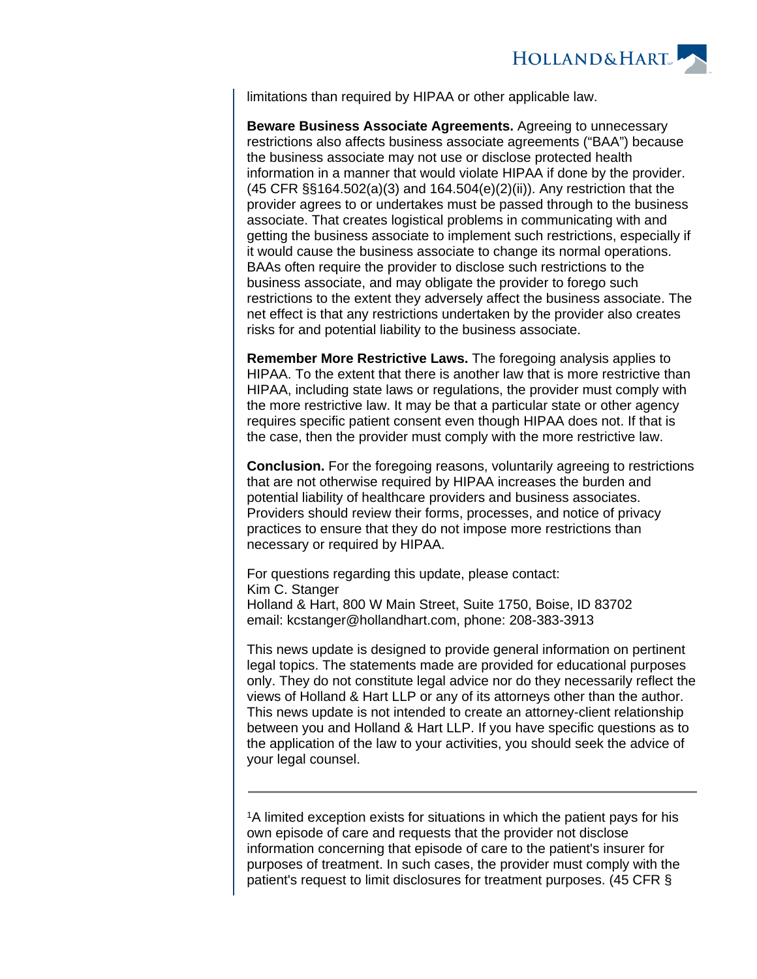

limitations than required by HIPAA or other applicable law.

**Beware Business Associate Agreements.** Agreeing to unnecessary restrictions also affects business associate agreements ("BAA") because the business associate may not use or disclose protected health information in a manner that would violate HIPAA if done by the provider. (45 CFR §§164.502(a)(3) and 164.504(e)(2)(ii)). Any restriction that the provider agrees to or undertakes must be passed through to the business associate. That creates logistical problems in communicating with and getting the business associate to implement such restrictions, especially if it would cause the business associate to change its normal operations. BAAs often require the provider to disclose such restrictions to the business associate, and may obligate the provider to forego such restrictions to the extent they adversely affect the business associate. The net effect is that any restrictions undertaken by the provider also creates risks for and potential liability to the business associate.

**Remember More Restrictive Laws.** The foregoing analysis applies to HIPAA. To the extent that there is another law that is more restrictive than HIPAA, including state laws or regulations, the provider must comply with the more restrictive law. It may be that a particular state or other agency requires specific patient consent even though HIPAA does not. If that is the case, then the provider must comply with the more restrictive law.

**Conclusion.** For the foregoing reasons, voluntarily agreeing to restrictions that are not otherwise required by HIPAA increases the burden and potential liability of healthcare providers and business associates. Providers should review their forms, processes, and notice of privacy practices to ensure that they do not impose more restrictions than necessary or required by HIPAA.

For questions regarding this update, please contact: Kim C. Stanger Holland & Hart, 800 W Main Street, Suite 1750, Boise, ID 83702 email: kcstanger@hollandhart.com, phone: 208-383-3913

This news update is designed to provide general information on pertinent legal topics. The statements made are provided for educational purposes only. They do not constitute legal advice nor do they necessarily reflect the views of Holland & Hart LLP or any of its attorneys other than the author. This news update is not intended to create an attorney-client relationship between you and Holland & Hart LLP. If you have specific questions as to the application of the law to your activities, you should seek the advice of your legal counsel.

<sup>1</sup>A limited exception exists for situations in which the patient pays for his own episode of care and requests that the provider not disclose information concerning that episode of care to the patient's insurer for purposes of treatment. In such cases, the provider must comply with the patient's request to limit disclosures for treatment purposes. (45 CFR §